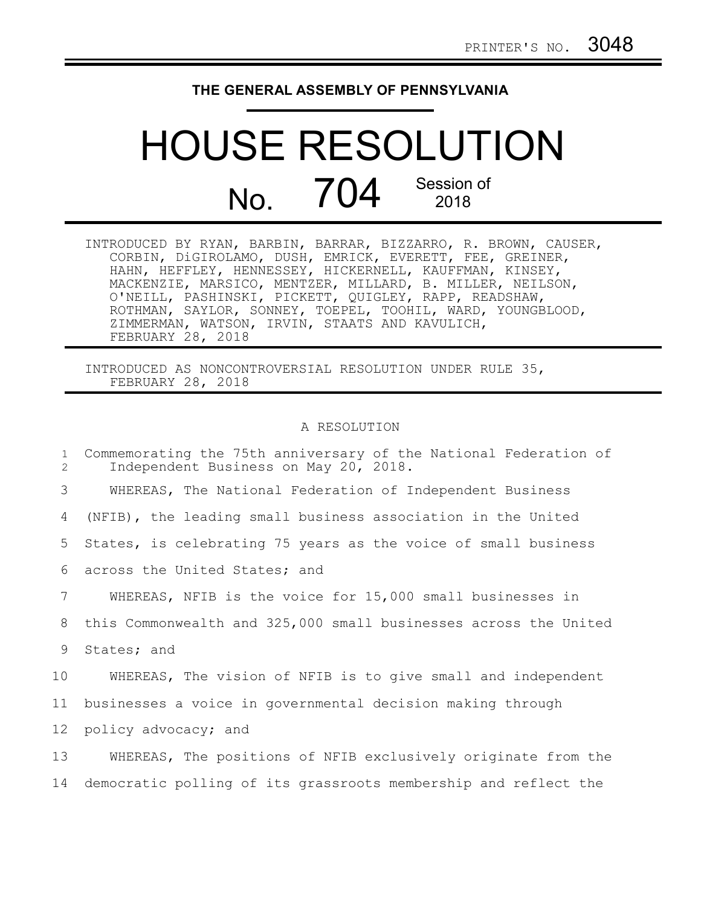## **THE GENERAL ASSEMBLY OF PENNSYLVANIA**

## HOUSE RESOLUTION No. 704 Session of 2018

| INTRODUCED BY RYAN, BARBIN, BARRAR, BIZZARRO, R. BROWN, CAUSER, |
|-----------------------------------------------------------------|
| CORBIN, DiGIROLAMO, DUSH, EMRICK, EVERETT, FEE, GREINER,        |
| HAHN, HEFFLEY, HENNESSEY, HICKERNELL, KAUFFMAN, KINSEY,         |
| MACKENZIE, MARSICO, MENTZER, MILLARD, B. MILLER, NEILSON,       |
| O'NEILL, PASHINSKI, PICKETT, QUIGLEY, RAPP, READSHAW,           |
| ROTHMAN, SAYLOR, SONNEY, TOEPEL, TOOHIL, WARD, YOUNGBLOOD,      |
| ZIMMERMAN, WATSON, IRVIN, STAATS AND KAVULICH,                  |
| FEBRUARY 28, 2018                                               |

INTRODUCED AS NONCONTROVERSIAL RESOLUTION UNDER RULE 35, FEBRUARY 28, 2018

## A RESOLUTION

| $\mathbf{1}$<br>$\overline{2}$ | Commemorating the 75th anniversary of the National Federation of<br>Independent Business on May 20, 2018. |
|--------------------------------|-----------------------------------------------------------------------------------------------------------|
| 3                              | WHEREAS, The National Federation of Independent Business                                                  |
| 4                              | (NFIB), the leading small business association in the United                                              |
| 5                              | States, is celebrating 75 years as the voice of small business                                            |
| 6                              | across the United States; and                                                                             |
| 7                              | WHEREAS, NFIB is the voice for 15,000 small businesses in                                                 |
| 8                              | this Commonwealth and 325,000 small businesses across the United                                          |
| 9                              | States; and                                                                                               |
| 10                             | WHEREAS, The vision of NFIB is to give small and independent                                              |
| 11                             | businesses a voice in governmental decision making through                                                |
| 12                             | policy advocacy; and                                                                                      |
| 13                             | WHEREAS, The positions of NFIB exclusively originate from the                                             |
| 14                             | democratic polling of its grassroots membership and reflect the                                           |
|                                |                                                                                                           |